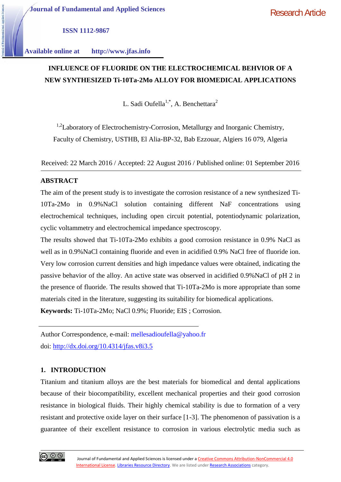**ISSN 1112-9867**

**Available online at http://www.jfas.info**

# **INFLUENCE OF FLUORIDE ON THE ELECTROCHEMICAL BEHVIOR OF A NEW SYNTHESIZED Ti-10Ta-2Mo ALLOY FOR BIOMEDICAL APPLICATIONS**

L. Sadi Oufella<sup>1,\*</sup>, A. Benchettara<sup>2</sup>

<sup>1,2</sup>Laboratory of Electrochemistry-Corrosion, Metallurgy and Inorganic Chemistry, Faculty of Chemistry, USTHB, El Alia-BP-32, Bab Ezzouar, Algiers 16 079, Algeria

Received: 22 March 2016 / Accepted: 22 August 2016 / Published online: 01 September 2016

## **ABSTRACT**

The aim of the present study is to investigate the corrosion resistance of a new synthesized Ti- 10Ta-2Mo in 0.9%NaCl solution containing different NaF concentrations using electrochemical techniques, including open circuit potential, potentiodynamic polarization, cyclic voltammetry and electrochemical impedance spectroscopy.

The results showed that Ti-10Ta-2Mo exhibits a good corrosion resistance in 0.9% NaCl as well as in 0.9%NaCl containing fluoride and even in acidified 0.9% NaCl free of fluoride ion. Very low corrosion current densities and high impedance values were obtained, indicating the passive behavior of the alloy. An active state was observed in acidified 0.9%NaCl of pH 2 in the presence of fluoride. The results showed that Ti-10Ta-2Mo is more appropriate than some materials cited in the literature, suggesting its suitability for biomedical applications.

**Keywords:** Ti-10Ta-2Mo; NaCl 0.9%; Fluoride; EIS ; Corrosion.

Author Correspondence, e-mail: mellesadioufella@yahoo.fr doi: http://dx.doi.org/10.4314/jfas.v8i3.5

## **1. INTRODUCTION**

Titanium and titanium alloys are the best materials for biomedical and dental applications because of their biocompatibility, excellent mechanical properties and their good corrosion resistance in biological fluids. Their highly chemical stability is due to formation of a very resistant and protective oxide layer on their surface [1-3]. The phenomenon of passivation is a guarantee of their excellent resistance to corrosion in various electrolytic media such as

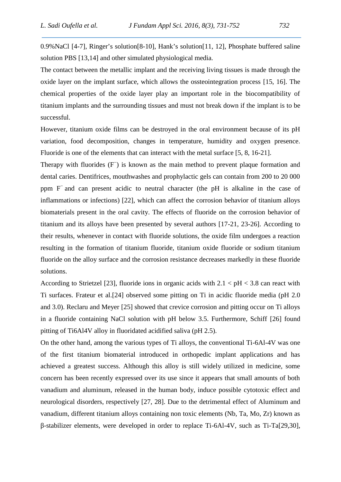0.9%NaCl [4-7], Ringer's solution[8-10], Hank's solution[11, 12], Phosphate buffered saline solution PBS [13,14] and other simulated physiological media.

The contact between the metallic implant and the receiving living tissues is made through the oxide layer on the implant surface, which allows the ossteointegration process [15, 16]. The chemical properties of the oxide layer play an important role in the biocompatibility of titanium implants and the surrounding tissues and must not break down if the implant is to be successful.

However, titanium oxide films can be destroyed in the oral environment because of its pH variation, food decomposition, changes in temperature, humidity and oxygen presence. Fluoride is one of the elements that can interact with the metal surface [5, 8, 16-21].

Therapy with fluorides (F<sup>−</sup> ) is known as the main method to prevent plaque formation and dental caries. Dentifrices, mouthwashes and prophylactic gels can contain from 200 to 20 000 ppm F<sup>−</sup> and can present acidic to neutral character (the pH is alkaline in the case of inflammations or infections) [22], which can affect the corrosion behavior of titanium alloys biomaterials present in the oral cavity. The effects of fluoride on the corrosion behavior of titanium and its alloys have been presented by several authors [17-21, 23-26]. According to their results, whenever in contact with fluoride solutions, the oxide film undergoes a reaction resulting in the formation of titanium fluoride, titanium oxide fluoride or sodium titanium fluoride on the alloy surface and the corrosion resistance decreases markedly in these fluoride solutions.

According to Strietzel [23], fluoride ions in organic acids with  $2.1 < pH < 3.8$  can react with Ti surfaces. Frateur et al.[24] observed some pitting on Ti in acidic fluoride media (pH 2.0 and 3.0). Reclaru and Meyer [25] showed that crevice corrosion and pitting occur on Ti alloys in a fluoride containing NaCl solution with pH below 3.5. Furthermore, Schiff [26] found pitting of Ti6Al4V alloy in fluoridated acidified saliva (pH 2.5).

On the other hand, among the various types of Ti alloys, the conventional Ti-6Al-4V was one of the first titanium biomaterial introduced in orthopedic implant applications and has achieved a greatest success. Although this alloy is still widely utilized in medicine, some concern has been recently expressed over its use since it appears that small amounts of both vanadium and aluminum, released in the human body, induce possible cytotoxic effect and neurological disorders, respectively [27, 28]. Due to the detrimental effect of Aluminum and vanadium, different titanium alloys containing non toxic elements (Nb, Ta, Mo, Zr) known as -stabilizer elements, were developed in order to replace Ti-6Al-4V, such as Ti-Ta[29,30],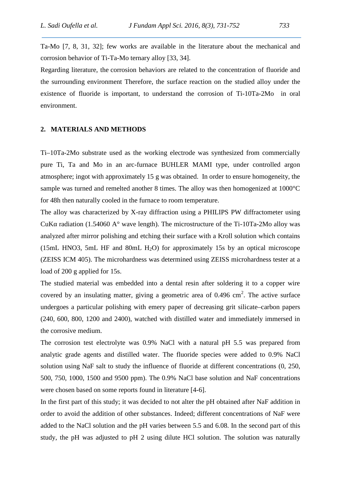Ta-Mo [7, 8, 31, 32]; few works are available in the literature about the mechanical and corrosion behavior of Ti-Ta-Mo ternary alloy [33, 34].

Regarding literature, the corrosion behaviors are related to the concentration of fluoride and the surrounding environment Therefore, the surface reaction on the studied alloy under the existence of fluoride is important, to understand the corrosion of Ti-10Ta-2Mo in oral environment.

## **2. MATERIALS AND METHODS**

Ti–10Ta-2Mo substrate used as the working electrode was synthesized from commercially pure Ti, Ta and Mo in an arc-furnace BUHLER MAMI type, under controlled argon atmosphere; ingot with approximately 15 g was obtained. In order to ensure homogeneity, the sample was turned and remelted another 8 times. The alloy was then homogenized at 1000°C for 48h then naturally cooled in the furnace to room temperature.

The alloy was characterized by X-ray diffraction using a PHILIPS PW diffractometer using CuK radiation (1.54060 A $^{\circ}$  wave length). The microstructure of the Ti-10Ta-2Mo alloy was analyzed after mirror polishing and etching their surface with a Kroll solution which contains (15mL HNO3, 5mL HF and 80mL H<sub>2</sub>O) for approximately 15s by an optical microscope (ZEISS ICM 405). The microhardness was determined using ZEISS microhardness tester at a load of 200 g applied for 15s.

The studied material was embedded into a dental resin after soldering it to a copper wire covered by an insulating matter, giving a geometric area of  $0.496 \text{ cm}^2$ . The active surface undergoes a particular polishing with emery paper of decreasing grit silicate–carbon papers (240, 600, 800, 1200 and 2400), watched with distilled water and immediately immersed in the corrosive medium.

The corrosion test electrolyte was 0.9% NaCl with a natural pH 5.5 was prepared from analytic grade agents and distilled water. The fluoride species were added to 0.9% NaCl solution using NaF salt to study the influence of fluoride at different concentrations (0, 250, 500, 750, 1000, 1500 and 9500 ppm). The 0.9% NaCl base solution and NaF concentrations were chosen based on some reports found in literature [4-6].

In the first part of this study; it was decided to not alter the pH obtained after NaF addition in order to avoid the addition of other substances. Indeed; different concentrations of NaF were added to the NaCl solution and the pH varies between 5.5 and 6.08. In the second part of this study, the pH was adjusted to pH 2 using dilute HCl solution. The solution was naturally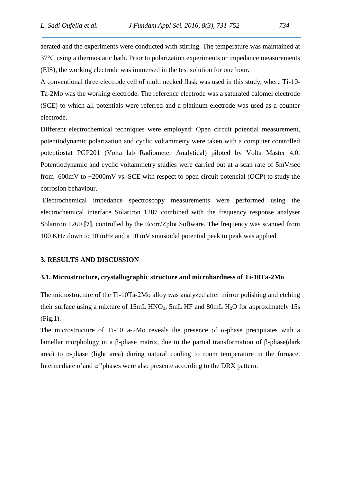aerated and the experiments were conducted with stirring. The temperature was maintained at 37°C using a thermostatic bath. Prior to polarization experiments or impedance measurements (EIS), the working electrode was immersed in the test solution for one hour.

A conventional three electrode cell of multi necked flask was used in this study, where Ti-10- Ta-2Mo was the working electrode. The reference electrode was a saturated calomel electrode (SCE) to which all potentials were referred and a platinum electrode was used as a counter electrode.

Different electrochemical techniques were employed: Open circuit potential measurement, potentiodynamic polarization and cyclic voltammetry were taken with a computer controlled potentiostat PGP201 (Volta lab Radiometer Analytical) piloted by Volta Master 4.0. Potentiodynamic and cyclic voltammetry studies were carried out at a scan rate of 5mV/sec from  $-600$ mV to  $+2000$ mV vs. SCE with respect to open circuit potencial (OCP) to study the corrosion behaviour.

Electrochemical impedance spectroscopy measurements were performed using the electrochemical interface Solartron 1287 combined with the frequency response analyser Solartron 1260 **[7]**, controlled by the Ecorr/Zplot Software. The frequency was scanned from 100 KHz down to 10 mHz and a 10 mV sinusoidal potential peak to peak was applied.

### **3. RESULTS AND DISCUSSION**

#### **3.1. Microstructure, crystallographic structure and microhardness of Ti-10Ta-2Mo**

The microstructure of the Ti-10Ta-2Mo alloy was analyzed after mirror polishing and etching their surface using a mixture of 15mL HNO<sub>3</sub>, 5mL HF and 80mL H<sub>2</sub>O for approximately 15s (Fig.1).

The microstructure of Ti-10Ta-2Mo reveals the presence of -phase precipitates with a lamellar morphology in a -phase matrix, due to the partial transformation of -phase(dark area) to -phase (light area) during natural cooling to room temperature in the furnace. Intermediate 'and ''phases were also presente according to the DRX pattern.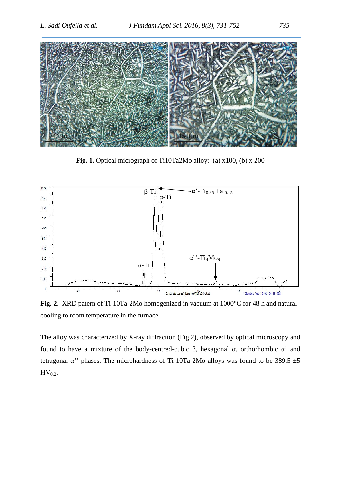

**Fig. 1.** Optical micrograph of Ti10Ta2Mo alloy: (a) x100, (b) x 200



**Fig. 2.** XRD patern of Ti-10Ta-2Mo homogenized in vacuum at 1000°C for 48 h and natural cooling to room temperature in the furnace.

The alloy was characterized by X-ray diffraction (Fig.2), observed by optical microscopy and found to have a mixture of the body-centred-cubic , hexagonal , orthorhombic ' and tetragonal "' phases. The microhardness of Ti-10Ta-2Mo alloys was found to be 389.5  $\pm$ 5  $HV_{0.2}$ .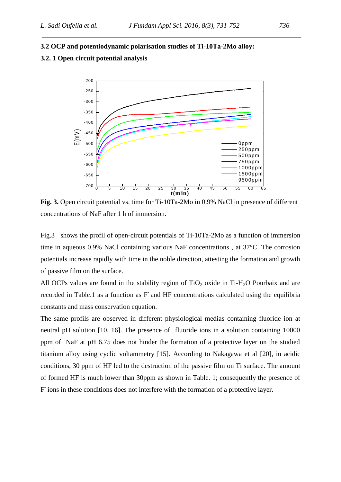# **3.2 OCP and potentiodynamic polarisation studies of Ti-10Ta-2Mo alloy:**

## **3.2. 1 Open circuit potential analysis**



**Fig. 3.** Open circuit potential vs. time for Ti-10Ta-2Mo in 0.9% NaCl in presence of different concentrations of NaF after 1 h of immersion.

Fig.3 shows the profil of open-circuit potentials of Ti-10Ta-2Mo as a function of immersion time in aqueous 0.9% NaCl containing various NaF concentrations , at 37°C. The corrosion potentials increase rapidly with time in the noble direction, attesting the formation and growth of passive film on the surface.

All OCPs values are found in the stability region of  $TiO<sub>2</sub>$  oxide in Ti-H<sub>2</sub>O Pourbaix and are recorded in Table.1 as a function as F and HF concentrations calculated using the equilibria constants and mass conservation equation.

The same profils are observed in different physiological medias containing fluoride ion at neutral pH solution [10, 16]. The presence of fluoride ions in a solution containing 10000 ppm of NaF at pH 6.75 does not hinder the formation of a protective layer on the studied titanium alloy using cyclic voltammetry [15]. According to Nakagawa et al [20], in acidic conditions, 30 ppm of HF led to the destruction of the passive film on Ti surface. The amount of formed HF is much lower than 30ppm as shown in Table. 1; consequently the presence of F ions in these conditions does not interfere with the formation of a protective layer.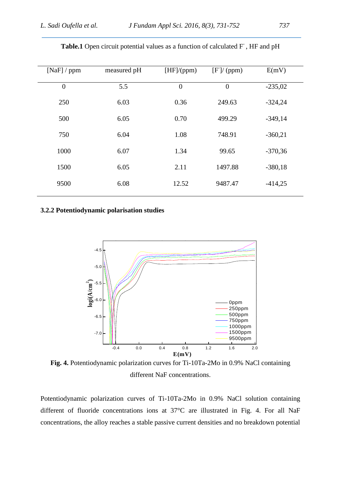| [NaF] / ppm      | measured pH | [HF]/(ppm)     | [F]/(ppm)      | E(mV)     |
|------------------|-------------|----------------|----------------|-----------|
| $\boldsymbol{0}$ | 5.5         | $\overline{0}$ | $\overline{0}$ | $-235,02$ |
| 250              | 6.03        | 0.36           | 249.63         | $-324,24$ |
| 500              | 6.05        | 0.70           | 499.29         | $-349,14$ |
| 750              | 6.04        | 1.08           | 748.91         | $-360,21$ |
| 1000             | 6.07        | 1.34           | 99.65          | $-370,36$ |
| 1500             | 6.05        | 2.11           | 1497.88        | $-380,18$ |
| 9500             | 6.08        | 12.52          | 9487.47        | $-414,25$ |
|                  |             |                |                |           |

Table.1 Open circuit potential values as a function of calculated F<sup>-</sup>, HF and pH

## **3.2.2 Potentiodynamic polarisation studies**



**Fig. 4.** Potentiodynamic polarization curves for Ti-10Ta-2Mo in 0.9% NaCl containing different NaF concentrations.

Potentiodynamic polarization curves of Ti-10Ta-2Mo in 0.9% NaCl solution containing different of fluoride concentrations ions at 37°C are illustrated in Fig. 4. For all NaF concentrations, the alloy reaches a stable passive current densities and no breakdown potential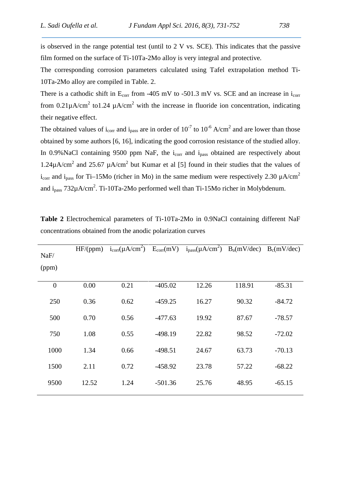is observed in the range potential test (until to 2 V vs. SCE). This indicates that the passive film formed on the surface of Ti-10Ta-2Mo alloy is very integral and protective.

The corresponding corrosion parameters calculated using Tafel extrapolation method Ti- 10Ta-2Mo alloy are compiled in Table. 2.

There is a cathodic shift in  $E_{corr}$  from -405 mV to -501.3 mV vs. SCE and an increase in  $i_{corr}$ from 0.21 $\mu$ A/cm<sup>2</sup> to1.24  $\mu$ A/cm<sup>2</sup> with the increase in fluoride ion concentration, indicating their negative effect.

The obtained values of i<sub>corr</sub> and i<sub>pass</sub> are in order of 10<sup>-7</sup> to 10<sup>-6</sup> A/cm<sup>2</sup> and are lower than those obtained by some authors [6, 16], indicating the good corrosion resistance of the studied alloy. In 0.9% NaCl containing 9500 ppm NaF, the  $i_{corr}$  and  $i_{pass}$  obtained are respectively about 1.24 $\mu$ A/cm<sup>2</sup> and 25.67  $\mu$ A/cm<sup>2</sup> but Kumar et al [5] found in their studies that the values of i<sub>corr</sub> and i<sub>pass</sub> for Ti–15Mo (richer in Mo) in the same medium were respectively 2.30  $\mu$ A/cm<sup>2</sup> and  $i_{pass}$  732 $\mu$ A/cm<sup>2</sup>. Ti-10Ta-2Mo performed well than Ti-15Mo richer in Molybdenum.

| NaF/     | HF/(ppm) |      |           | $i_{corr}(\mu A/cm^2)$ $E_{corr}(mV)$ $i_{pass}(\mu A/cm^2)$ $B_a(mV/dec)$ $B_c(mV/dec)$ |        |          |
|----------|----------|------|-----------|------------------------------------------------------------------------------------------|--------|----------|
| (ppm)    |          |      |           |                                                                                          |        |          |
| $\theta$ | 0.00     | 0.21 | $-405.02$ | 12.26                                                                                    | 118.91 | $-85.31$ |
| 250      | 0.36     | 0.62 | $-459.25$ | 16.27                                                                                    | 90.32  | $-84.72$ |
| 500      | 0.70     | 0.56 | $-477.63$ | 19.92                                                                                    | 87.67  | $-78.57$ |
| 750      | 1.08     | 0.55 | $-498.19$ | 22.82                                                                                    | 98.52  | $-72.02$ |
| 1000     | 1.34     | 0.66 | $-498.51$ | 24.67                                                                                    | 63.73  | $-70.13$ |
| 1500     | 2.11     | 0.72 | $-458.92$ | 23.78                                                                                    | 57.22  | $-68.22$ |
| 9500     | 12.52    | 1.24 | $-501.36$ | 25.76                                                                                    | 48.95  | $-65.15$ |
|          |          |      |           |                                                                                          |        |          |

**Table 2** Electrochemical parameters of Ti-10Ta-2Mo in 0.9NaCl containing different NaF concentrations obtained from the anodic polarization curves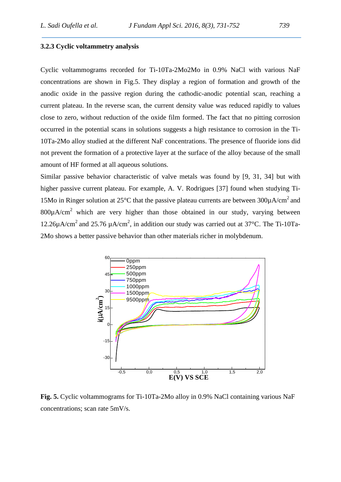#### **3.2.3 Cyclic voltammetry analysis**

Cyclic voltammograms recorded for Ti-10Ta-2Mo2Mo in 0.9% NaCl with various NaF concentrations are shown in Fig.5. They display a region of formation and growth of the anodic oxide in the passive region during the cathodic-anodic potential scan, reaching a current plateau. In the reverse scan, the current density value was reduced rapidly to values close to zero, without reduction of the oxide film formed. The fact that no pitting corrosion occurred in the potential scans in solutions suggests a high resistance to corrosion in the Ti- 10Ta-2Mo alloy studied at the different NaF concentrations. The presence of fluoride ions did not prevent the formation of a protective layer at the surface of the alloy because of the small amount of HF formed at all aqueous solutions.

Similar passive behavior characteristic of valve metals was found by [9, 31, 34] but with higher passive current plateau. For example, A. V. Rodrigues [37] found when studying Ti- 15Mo in Ringer solution at 25 $^{\circ}$ C that the passive plateau currents are between 300 $\mu$ A/cm<sup>2</sup> and  $800\mu A/cm^2$  which are very higher than those obtained in our study, varying between 12.26 $\mu$ A/cm<sup>2</sup> and 25.76  $\mu$ A/cm<sup>2</sup>, in addition our study was carried out at 37°C. The Ti-10Ta-2Mo shows a better passive behavior than other materials richer in molybdenum.



**Fig. 5.** Cyclic voltammograms for Ti-10Ta-2Mo alloy in 0.9% NaCl containing various NaF concentrations; scan rate 5mV/s.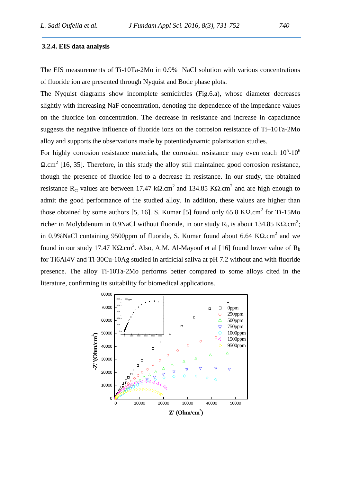#### **3.2.4. EIS data analysis**

The EIS measurements of Ti-10Ta-2Mo in 0.9% NaCl solution with various concentrations of fluoride ion are presented through Nyquist and Bode phase plots.

The Nyquist diagrams show incomplete semicircles (Fig.6.a), whose diameter decreases slightly with increasing NaF concentration, denoting the dependence of the impedance values on the fluoride ion concentration. The decrease in resistance and increase in capacitance suggests the negative influence of fluoride ions on the corrosion resistance of Ti–10Ta-2Mo alloy and supports the observations made by potentiodynamic polarization studies.

For highly corrosion resistance materials, the corrosion resistance may even reach  $10<sup>5</sup>$ -10<sup>6</sup>  $\text{cm}^2$  [16, 35]. Therefore, in this study the alloy still maintained good corrosion resistance, though the presence of fluoride led to a decrease in resistance. In our study, the obtained resistance R<sub>ct</sub> values are between 17.47 k .cm<sup>2</sup> and 134.85 K .cm<sup>2</sup> and are high enough to admit the good performance of the studied alloy. In addition, these values are higher than those obtained by some authors [5, 16]. S. Kumar [5] found only 65.8 K  $\cdot$  cm<sup>2</sup> for Ti-15Mo richer in Molybdenum in 0.9NaCl without fluoride, in our study  $R_b$  is about 134.85 K .cm<sup>2</sup>; in 0.9%NaCl containing 9500ppm of fluoride, S. Kumar found about 6.64 K  $\cdot$  cm<sup>2</sup> and we found in our study 17.47 K .cm<sup>2</sup>. Also, A.M. Al-Mayouf et al [16] found lower value of  $R_b$ for Ti6Al4V and Ti-30Cu-10Ag studied in artificial saliva at pH 7.2 without and with fluoride presence. The alloy Ti-10Ta-2Mo performs better compared to some alloys cited in the literature, confirming its suitability for biomedical applications.

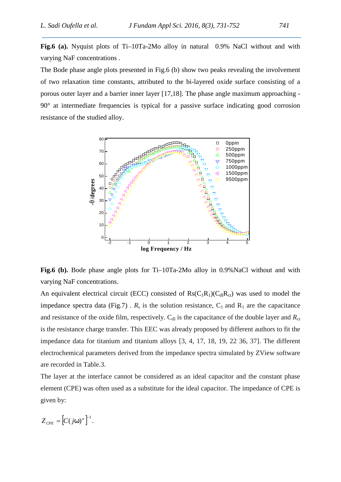**Fig.6 (a).** Nyquist plots of Ti–10Ta-2Mo alloy in natural 0.9% NaCl without and with varying NaF concentrations .

The Bode phase angle plots presented in Fig.6 (b) show two peaks revealing the involvement of two relaxation time constants, attributed to the bi-layered oxide surface consisting of a porous outer layer and a barrier inner layer [17,18]. The phase angle maximum approaching - 90° at intermediate frequencies is typical for a passive surface indicating good corrosion resistance of the studied alloy.



**Fig.6 (b).** Bode phase angle plots for Ti–10Ta-2Mo alloy in 0.9%NaCl without and with varying NaF concentrations.

An equivalent electrical circuit (ECC) consisted of  $\text{Rs}(C_1R_1)(C_dR_{ct})$  was used to model the impedance spectra data (Fig.7) .  $R_s$  is the solution resistance,  $C_1$  and  $R_1$  are the capacitance and resistance of the oxide film, respectively.  $C_{d}$  is the capacitance of the double layer and  $R_{ct}$ is the resistance charge transfer. This EEC was already proposed by different authors to fit the impedance data for titanium and titanium alloys [3, 4, 17, 18, 19, 22 36, 37]. The different electrochemical parameters derived from the impedance spectra simulated by ZView software are recorded in Table.3.

The layer at the interface cannot be considered as an ideal capacitor and the constant phase element (CPE) was often used as a substitute for the ideal capacitor. The impedance of CPE is given by:

$$
Z_{CPE} = [C(j\tilde{S})^n]^{-1}.
$$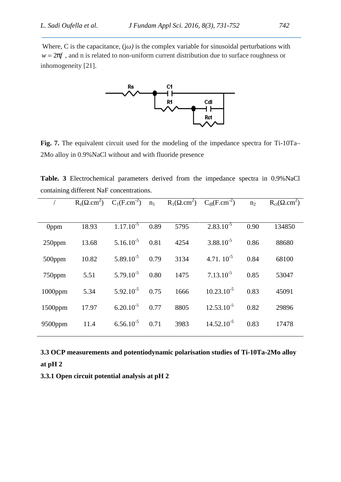Where, C is the capacitance, (j) is the complex variable for sinusoidal perturbations with  $w = 2ff$ , and n is related to non-uniform current distribution due to surface roughness or inhomogeneity [21].



**Fig. 7.** The equivalent circuit used for the modeling of the impedance spectra for Ti-10Ta– 2Mo alloy in 0.9%NaCl without and with fluoride presence

**Table. 3** Electrochemical parameters derived from the impedance spectra in 0.9%NaCl containing different NaF concentrations.

|            |       | $R_s$ cm <sup>2</sup> ) $C_1$ (F.cm <sup>-2</sup> ) n <sub>1</sub> |      |      | $R_1$ ( .cm <sup>2</sup> ) $C_{dl}(F.cm^{-2})$ | n <sub>2</sub> | $R_{ct}$ .cm <sup>2</sup> ) |
|------------|-------|--------------------------------------------------------------------|------|------|------------------------------------------------|----------------|-----------------------------|
|            |       |                                                                    |      |      |                                                |                |                             |
| 0ppm       | 18.93 | $1.17.10^{-5}$                                                     | 0.89 | 5795 | $2.83.10^{-5}$                                 | 0.90           | 134850                      |
| $250$ ppm  | 13.68 | $5.16.10^{-5}$                                                     | 0.81 | 4254 | $3.88.10^{-5}$                                 | 0.86           | 88680                       |
| $500$ ppm  | 10.82 | $5.89.10^{-5}$                                                     | 0.79 | 3134 | $4.71.10^{-5}$                                 | 0.84           | 68100                       |
| 750ppm     | 5.51  | $5.79.10^{-5}$                                                     | 0.80 | 1475 | $7.13.10^{-5}$                                 | 0.85           | 53047                       |
| $1000$ ppm | 5.34  | $5.92.10^{-5}$                                                     | 0.75 | 1666 | $10.23.10^{-5}$                                | 0.83           | 45091                       |
| $1500$ ppm | 17.97 | $6.20.10^{-5}$                                                     | 0.77 | 8805 | $12.53.10^{-5}$                                | 0.82           | 29896                       |
| $9500$ ppm | 11.4  | $6.56.10^{-5}$                                                     | 0.71 | 3983 | $14.52.10^{-5}$                                | 0.83           | 17478                       |
|            |       |                                                                    |      |      |                                                |                |                             |

**3.3 OCP measurements and potentiodynamic polarisation studies of Ti-10Ta-2Mo alloy at pH 2**

**3.3.1 Open circuit potential analysis at pH 2**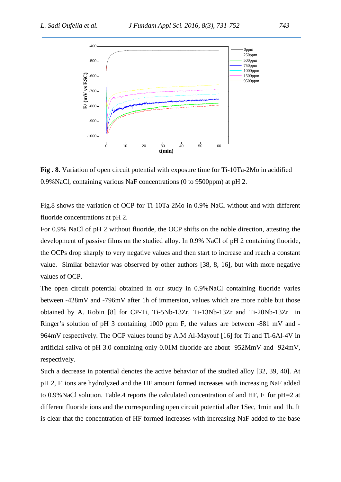

**Fig . 8.** Variation of open circuit potential with exposure time for Ti-10Ta-2Mo in acidified 0.9%NaCl, containing various NaF concentrations (0 to 9500ppm) at pH 2.

Fig.8 shows the variation of OCP for Ti-10Ta-2Mo in 0.9% NaCl without and with different fluoride concentrations at pH 2.

For 0.9% NaCl of pH 2 without fluoride, the OCP shifts on the noble direction, attesting the development of passive films on the studied alloy. In 0.9% NaCl of pH 2 containing fluoride, the OCPs drop sharply to very negative values and then start to increase and reach a constant value. Similar behavior was observed by other authors [38, 8, 16], but with more negative values of OCP.

The open circuit potential obtained in our study in 0.9%NaCl containing fluoride varies between -428mV and -796mV after 1h of immersion, values which are more noble but those obtained by A. Robin [8] for CP-Ti, Ti-5Nb-13Zr, Ti-13Nb-13Zr and Ti-20Nb-13Zr in Ringer's solution of pH 3 containing 1000 ppm F, the values are between -881 mV and - 964mV respectively. The OCP values found by A.M Al-Mayouf [16] for Ti and Ti-6Al-4V in artificial saliva of pH 3.0 containing only 0.01M fluoride are about -952MmV and -924mV, respectively.

Such a decrease in potential denotes the active behavior of the studied alloy [32, 39, 40]. At pH 2, F ions are hydrolyzed and the HF amount formed increases with increasing NaF added to 0.9% NaCl solution. Table.4 reports the calculated concentration of and HF, F for pH=2 at different fluoride ions and the corresponding open circuit potential after 1Sec, 1min and 1h. It is clear that the concentration of HF formed increases with increasing NaF added to the base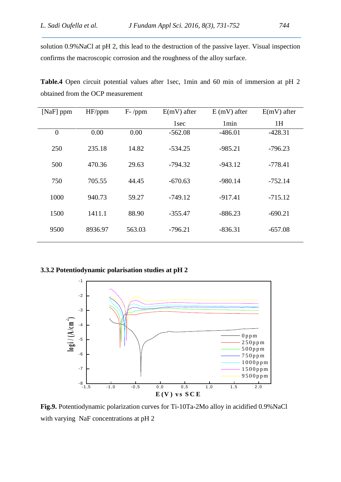solution 0.9%NaCl at pH 2, this lead to the destruction of the passive layer. Visual inspection confirms the macroscopic corrosion and the roughness of the alloy surface.

**Table.4** Open circuit potential values after 1sec, 1min and 60 min of immersion at pH 2 obtained from the OCP measurement

| [ $NaF$ ] ppm | HF/ppm  | $F - /ppm$ | $E(mV)$ after    | $E$ (mV) after   | $E(mV)$ after |
|---------------|---------|------------|------------------|------------------|---------------|
|               |         |            | 1 <sub>sec</sub> | 1 <sub>min</sub> | 1H            |
| $\mathbf{0}$  | 0.00    | 0.00       | $-562.08$        | $-486.01$        | $-428.31$     |
| 250           | 235.18  | 14.82      | $-534.25$        | $-985.21$        | $-796.23$     |
| 500           | 470.36  | 29.63      | $-794.32$        | $-943.12$        | $-778.41$     |
| 750           | 705.55  | 44.45      | $-670.63$        | $-980.14$        | $-752.14$     |
| 1000          | 940.73  | 59.27      | $-749.12$        | $-917.41$        | $-715.12$     |
| 1500          | 1411.1  | 88.90      | $-355.47$        | $-886.23$        | $-690.21$     |
| 9500          | 8936.97 | 563.03     | $-796.21$        | $-836.31$        | $-657.08$     |

**3.3.2 Potentiodynamic polarisation studies at pH 2**



with varying NaF concentrations at pH 2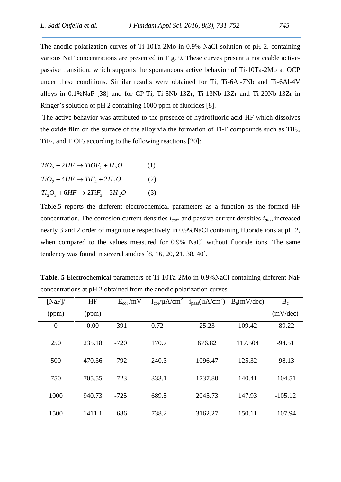The anodic polarization curves of Ti-10Ta-2Mo in 0.9% NaCl solution of pH 2, containing various NaF concentrations are presented in Fig. 9. These curves present a noticeable active passive transition, which supports the spontaneous active behavior of Ti-10Ta-2Mo at OCP under these conditions. Similar results were obtained for Ti, Ti-6Al-7Nb and Ti-6Al-4V alloys in 0.1%NaF [38] and for CP-Ti, Ti-5Nb-13Zr, Ti-13Nb-13Zr and Ti-20Nb-13Zr in Ringer's solution of pH 2 containing 1000 ppm of fluorides [8].

The active behavior was attributed to the presence of hydrofluoric acid HF which dissolves the oxide film on the surface of the alloy via the formation of Ti-F compounds such as  $TiF_3$ , TiF<sub>4</sub>, and TiOF<sub>2</sub> according to the following reactions [20]:

| $TiO_2 + 2HF \rightarrow TiOF_2 + H_2O$ |  |  |  |
|-----------------------------------------|--|--|--|
|-----------------------------------------|--|--|--|

 $TiO_2 + 4HF \rightarrow TiF_4 + 2H_2O$  (2)

 $Ti, O_3 + 6HF \rightarrow 2TiF_3 + 3H_2O$  (3)

Table.5 reports the different electrochemical parameters as a function as the formed HF concentration. The corrosion current densities *icorr* and passive current densities *ipass* increased nearly 3 and 2 order of magnitude respectively in 0.9%NaCl containing fluoride ions at pH 2, when compared to the values measured for 0.9% NaCl without fluoride ions. The same tendency was found in several studies [8, 16, 20, 21, 38, 40].

| [NaF]          | HF     | $E_{cor}/mV$ |       | $I_{cor}/\mu A/cm^2$ $i_{pass}(\mu A/cm^2)$ $B_a(mV/dec)$ |         | $B_c$     |
|----------------|--------|--------------|-------|-----------------------------------------------------------|---------|-----------|
| (ppm)          | (ppm)  |              |       |                                                           |         | (mV/dec)  |
| $\overline{0}$ | 0.00   | $-391$       | 0.72  | 25.23                                                     | 109.42  | $-89.22$  |
| 250            | 235.18 | $-720$       | 170.7 | 676.82                                                    | 117.504 | $-94.51$  |
| 500            | 470.36 | $-792$       | 240.3 | 1096.47                                                   | 125.32  | $-98.13$  |
| 750            | 705.55 | $-723$       | 333.1 | 1737.80                                                   | 140.41  | $-104.51$ |
| 1000           | 940.73 | $-725$       | 689.5 | 2045.73                                                   | 147.93  | $-105.12$ |
| 1500           | 1411.1 | $-686$       | 738.2 | 3162.27                                                   | 150.11  | $-107.94$ |
|                |        |              |       |                                                           |         |           |

**Table. 5** Electrochemical parameters of Ti-10Ta-2Mo in 0.9%NaCl containing different NaF concentrations at pH 2 obtained from the anodic polarization curves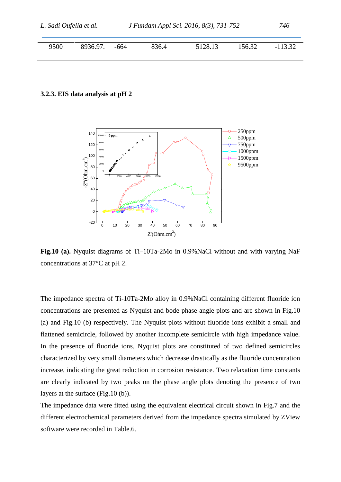|      | J Fundam Appl Sci. 2016, 8(3), 731-752<br>L. Sadi Oufella et al. |      |       |         | 746    |           |  |
|------|------------------------------------------------------------------|------|-------|---------|--------|-----------|--|
| 9500 | 8936.97.                                                         | -664 | 836.4 | 5128.13 | 156.32 | $-113.32$ |  |

#### **3.2.3. EIS data analysis at pH 2**



**Fig.10 (a).**Nyquist diagrams of Ti–10Ta-2Mo in 0.9%NaCl without and with varying NaF concentrations at 37°C at pH 2.

The impedance spectra of Ti-10Ta-2Mo alloy in 0.9%NaCl containing different fluoride ion concentrations are presented as Nyquist and bode phase angle plots and are shown in Fig.10 (a) and Fig.10 (b) respectively. The Nyquist plots without fluoride ions exhibit a small and flattened semicircle, followed by another incomplete semicircle with high impedance value. In the presence of fluoride ions, Nyquist plots are constituted of two defined semicircles characterized by very small diameters which decrease drastically as the fluoride concentration increase, indicating the great reduction in corrosion resistance. Two relaxation time constants are clearly indicated by two peaks on the phase angle plots denoting the presence of two layers at the surface (Fig.10 (b)).

The impedance data were fitted using the equivalent electrical circuit shown in Fig.7 and the different electrochemical parameters derived from the impedance spectra simulated by ZView software were recorded in Table.6.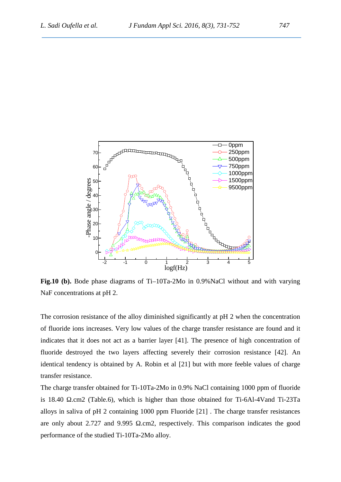

**Fig.10 (b).** Bode phase diagrams of Ti–10Ta-2Mo in 0.9%NaCl without and with varying NaF concentrations at pH 2.

The corrosion resistance of the alloy diminished significantly at pH 2 when the concentration of fluoride ions increases. Very low values of the charge transfer resistance are found and it indicates that it does not act as a barrier layer [41]. The presence of high concentration of fluoride destroyed the two layers affecting severely their corrosion resistance [42]. An identical tendency is obtained by A. Robin et al [21] but with more feeble values of charge transfer resistance.

The charge transfer obtained for Ti-10Ta-2Mo in 0.9% NaCl containing 1000 ppm of fluoride is 18.40 .cm2 (Table.6), which is higher than those obtained for Ti-6Al-4Vand Ti-23Ta alloys in saliva of pH 2 containing 1000 ppm Fluoride [21] . The charge transfer resistances are only about 2.727 and 9.995 .cm2, respectively. This comparison indicates the good performance of the studied Ti-10Ta-2Mo alloy.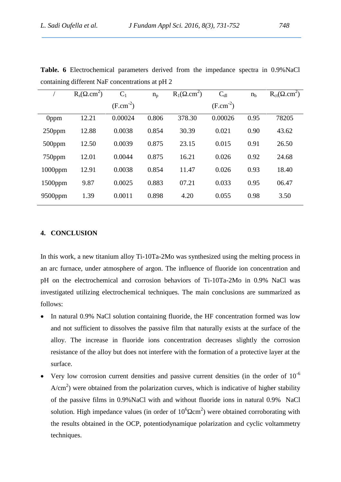|                  | .cm <sup>2</sup> )<br>$R_{\rm s}$ ( | $C_1$         | $n_{p}$ | .cm <sup>2</sup> )<br>$R_1($ | $C_{dl}$      | n <sub>b</sub> | $.cm2$ )<br>$R_{ct}$ ( |
|------------------|-------------------------------------|---------------|---------|------------------------------|---------------|----------------|------------------------|
|                  |                                     | $(F.cm^{-2})$ |         |                              | $(F.cm^{-2})$ |                |                        |
| 0 <sub>ppm</sub> | 12.21                               | 0.00024       | 0.806   | 378.30                       | 0.00026       | 0.95           | 78205                  |
| $250$ ppm        | 12.88                               | 0.0038        | 0.854   | 30.39                        | 0.021         | 0.90           | 43.62                  |
| $500$ ppm        | 12.50                               | 0.0039        | 0.875   | 23.15                        | 0.015         | 0.91           | 26.50                  |
| $750$ ppm        | 12.01                               | 0.0044        | 0.875   | 16.21                        | 0.026         | 0.92           | 24.68                  |
| $1000$ ppm       | 12.91                               | 0.0038        | 0.854   | 11.47                        | 0.026         | 0.93           | 18.40                  |
| $1500$ ppm       | 9.87                                | 0.0025        | 0.883   | 07.21                        | 0.033         | 0.95           | 06.47                  |
| 9500ppm          | 1.39                                | 0.0011        | 0.898   | 4.20                         | 0.055         | 0.98           | 3.50                   |

**Table. 6** Electrochemical parameters derived from the impedance spectra in 0.9%NaCl containing different NaF concentrations at pH 2

#### **4. CONCLUSION**

In this work, a new titanium alloy Ti-10Ta-2Mo was synthesized using the melting process in an arc furnace, under atmosphere of argon. The influence of fluoride ion concentration and pH on the electrochemical and corrosion behaviors of Ti-10Ta-2Mo in 0.9% NaCl was investigated utilizing electrochemical techniques. The main conclusions are summarized as follows:

- In natural 0.9% NaCl solution containing fluoride, the HF concentration formed was low and not sufficient to dissolves the passive film that naturally exists at the surface of the alloy. The increase in fluoride ions concentration decreases slightly the corrosion resistance of the alloy but does not interfere with the formation of a protective layer at the surface.
- Very low corrosion current densities and passive current densities (in the order of  $10^{-6}$ )  $A/cm<sup>2</sup>$ ) were obtained from the polarization curves, which is indicative of higher stability of the passive films in 0.9%NaCl with and without fluoride ions in natural 0.9% NaCl solution. High impedance values (in order of  $10^6$  cm<sup>2</sup>) were obtained corroborating with the results obtained in the OCP, potentiodynamique polarization and cyclic voltammetry techniques.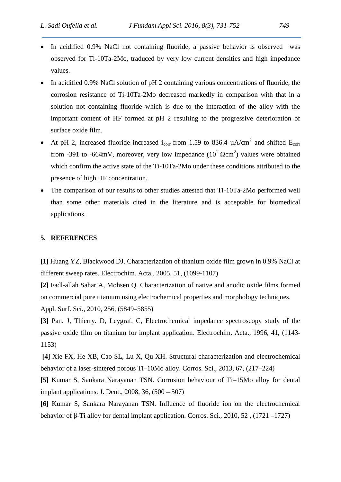- In acidified 0.9% NaCl not containing fluoride, a passive behavior is observed was observed for Ti-10Ta-2Mo, traduced by very low current densities and high impedance values.
- In acidified 0.9% NaCl solution of pH 2 containing various concentrations of fluoride, the corrosion resistance of Ti-10Ta-2Mo decreased markedly in comparison with that in a solution not containing fluoride which is due to the interaction of the alloy with the important content of HF formed at pH 2 resulting to the progressive deterioration of surface oxide film.
- At pH 2, increased fluoride increased i<sub>corr</sub> from 1.59 to 836.4  $\mu$ A/cm<sup>2</sup> and shifted E<sub>corr</sub> from -391 to -664mV, moreover, very low impedance  $(10^1 \text{ cm}^2)$  values were obtained which confirm the active state of the Ti-10Ta-2Mo under these conditions attributed to the presence of high HF concentration.
- The comparison of our results to other studies attested that Ti-10Ta-2Mo performed well than some other materials cited in the literature and is acceptable for biomedical applications.

### **5. REFERENCES**

**[1]** Huang YZ, Blackwood DJ. Characterization of titanium oxide film grown in 0.9% NaCl at different sweep rates. Electrochim. Acta., 2005, 51, (1099-1107)

**[2]** Fadl-allah Sahar A, Mohsen Q. Characterization of native and anodic oxide films formed on commercial pure titanium using electrochemical properties and morphology techniques. Appl. Surf. Sci., 2010, 256, (5849–5855)

**[3]** Pan. J, Thierry. D, Leygraf. C, Electrochemical impedance spectroscopy study of the passive oxide film on titanium for implant application. Electrochim. Acta., 1996, 41, (1143- 1153)

**[4]** Xie FX, He XB, Cao SL, Lu X, Qu XH. Structural characterization and electrochemical behavior of a laser-sintered porous Ti–10Mo alloy. Corros. Sci., 2013, 67, (217–224)

**[5]** Kumar S, Sankara Narayanan TSN. Corrosion behaviour of Ti–15Mo alloy for dental implant applications. J. Dent.,  $2008$ ,  $36$ ,  $(500 - 507)$ 

**[6]** Kumar S, Sankara Narayanan TSN. Influence of fluoride ion on the electrochemical behavior of -Ti alloy for dental implant application. Corros. Sci., 2010, 52, (1721 –1727)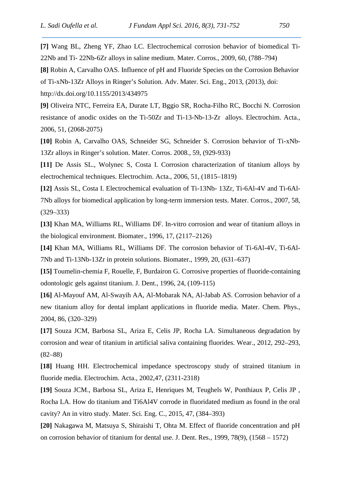**[7]** Wang BL, Zheng YF, Zhao LC. Electrochemical corrosion behavior of biomedical Ti- 22Nb and Ti- 22Nb-6Zr alloys in saline medium. Mater. Corros., 2009, 60, (788–794)

**[8]** Robin A, Carvalho OAS. Influence of pH and Fluoride Species on the Corrosion Behavior

of Ti-xNb-13Zr Alloys in Ringer's Solution. Adv. Mater. Sci. Eng., 2013, (2013), doi:

http://dx.doi.org/10.1155/2013/434975

**[9]** Oliveira NTC, Ferreira EA, Durate LT, Bggio SR, Rocha-Filho RC, Bocchi N. Corrosion resistance of anodic oxides on the Ti-50Zr and Ti-13-Nb-13-Zr alloys. Electrochim. Acta., 2006, 51, (2068-2075)

**[10]** Robin A, Carvalho OAS, Schneider SG, Schneider S. Corrosion behavior of Ti-xNb- 13Zr alloys in Ringer's solution. Mater. Corros. 2008., 59, (929-933)

**[11]** De Assis SL., Wolynec S, Costa I. Corrosion characterization of titanium alloys by electrochemical techniques. Electrochim. Acta., 2006, 51, (1815–1819)

**[12]** Assis SL, Costa I. Electrochemical evaluation of Ti-13Nb- 13Zr, Ti-6Al-4V and Ti-6Al- 7Nb alloys for biomedical application by long-term immersion tests. Mater. Corros., 2007, 58, (329–333)

**[13]** Khan MA, Williams RL, Williams DF. In-vitro corrosion and wear of titanium alloys in the biological environment. Biomater., 1996, 17, (2117–2126)

**[14]** Khan MA, Williams RL, Williams DF. The corrosion behavior of Ti-6Al-4V, Ti-6Al- 7Nb and Ti-13Nb-13Zr in protein solutions. Biomater., 1999, 20, (631–637)

**[15]** Toumelin-chemia F, Rouelle, F, Burdairon G. Corrosive properties of fluoride-containing odontologic gels against titanium. J. Dent., 1996, 24, (109-115)

**[16]** Al-Mayouf AM, Al-Swayih AA, Al-Mobarak NA, Al-Jabab AS. Corrosion behavior of a new titanium alloy for dental implant applications in fluoride media. Mater. Chem. Phys., 2004, 86, (320–329)

**[17]** Souza JCM, Barbosa SL, Ariza E, Celis JP, Rocha LA. Simultaneous degradation by corrosion and wear of titanium in artificial saliva containing fluorides. Wear., 2012, 292–293, (82–88)

**[18]** Huang HH. Electrochemical impedance spectroscopy study of strained titanium in fluoride media. Electrochim. Acta., 2002,47, (2311-2318)

**[19]** Souza JCM., Barbosa SL, Ariza E, Henriques M, Teughels W, Ponthiaux P, Celis JP , Rocha LA. How do titanium and Ti6Al4V corrode in fluoridated medium as found in the oral cavity? An in vitro study. Mater. Sci. Eng. C., 2015, 47, (384–393)

**[20]** Nakagawa M, Matsuya S, Shiraishi T, Ohta M. Effect of fluoride concentration and pH on corrosion behavior of titanium for dental use. J. Dent. Res., 1999, 78(9), (1568 – 1572)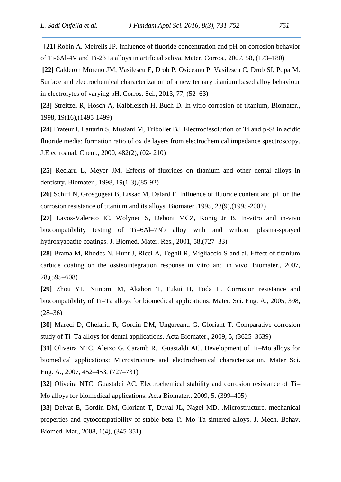**[21]** Robin A, Meirelis JP. Influence of fluoride concentration and pH on corrosion behavior of Ti-6Al-4V and Ti-23Ta alloys in artificial saliva. Mater. Corros., 2007, 58, (173–180)

**[22]** Calderon Moreno JM, Vasilescu E, Drob P, Osiceanu P, Vasilescu C, Drob SI, Popa M. Surface and electrochemical characterization of a new ternary titanium based alloy behaviour in electrolytes of varying pH. Corros. Sci., 2013, 77, (52–63)

**[23]** Streitzel R, Hösch A, Kalbfleisch H, Buch D. In vitro corrosion of titanium, Biomater., 1998, 19(16),(1495-1499)

**[24]** Frateur I, Lattarin S, Musiani M, Tribollet BJ. Electrodissolution of Ti and p-Si in acidic fluoride media: formation ratio of oxide layers from electrochemical impedance spectroscopy. J.Electroanal. Chem., 2000, 482(2), (02- 210)

**[25]** Reclaru L, Meyer JM. Effects of fluorides on titanium and other dental alloys in dentistry. Biomater., 1998, 19(1-3),(85-92)

**[26]** Schiff N, Grosgogeat B, Lissac M, Dalard F. Influence of fluoride content and pH on the corrosion resistance of titanium and its alloys. Biomater.,1995, 23(9),(1995-2002)

**[27]** Lavos-Valereto IC, Wolynec S, Deboni MCZ, Konig Jr B. In-vitro and in-vivo biocompatibility testing of Ti–6Al–7Nb alloy with and without plasma-sprayed hydroxyapatite coatings. J. Biomed. Mater. Res., 2001, 58,(727–33)

**[28]** Brama M, Rhodes N, Hunt J, Ricci A, Teghil R, Migliaccio S and al. Effect of titanium carbide coating on the ossteointegration response in vitro and in vivo. Biomater., 2007, 28,(595–608)

**[29]** Zhou YL, Niinomi M, Akahori T, Fukui H, Toda H. Corrosion resistance and biocompatibility of Ti–Ta alloys for biomedical applications. Mater. Sci. Eng. A., 2005, 398,  $(28-36)$ 

**[30]** Mareci D, Chelariu R, Gordin DM, Ungureanu G, Gloriant T. Comparative corrosion study of Ti–Ta alloys for dental applications. Acta Biomater., 2009, 5, (3625–3639)

**[31]** Oliveira NTC, Aleixo G, Caramb R, Guastaldi AC. Development of Ti–Mo alloys for biomedical applications: Microstructure and electrochemical characterization. Mater Sci. Eng. A., 2007, 452–453, (727–731)

**[32]** Oliveira NTC, Guastaldi AC. Electrochemical stability and corrosion resistance of Ti– Mo alloys for biomedical applications. Acta Biomater., 2009, 5, (399–405)

**[33]** Delvat E, Gordin DM, Gloriant T, Duval JL, Nagel MD. .Microstructure, mechanical properties and cytocompatibility of stable beta Ti–Mo–Ta sintered alloys. J. Mech. Behav. Biomed. Mat., 2008, 1(4), (345-351)